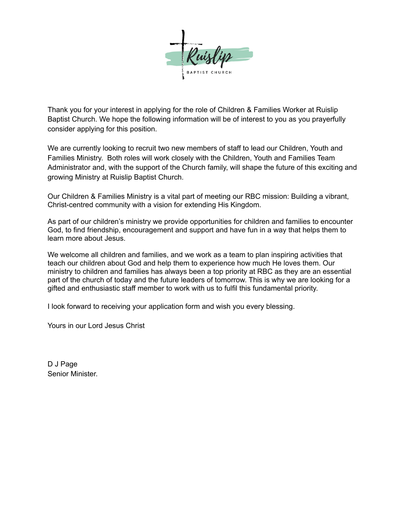

Thank you for your interest in applying for the role of Children & Families Worker at Ruislip Baptist Church. We hope the following information will be of interest to you as you prayerfully consider applying for this position.

We are currently looking to recruit two new members of staff to lead our Children, Youth and Families Ministry. Both roles will work closely with the Children, Youth and Families Team Administrator and, with the support of the Church family, will shape the future of this exciting and growing Ministry at Ruislip Baptist Church.

Our Children & Families Ministry is a vital part of meeting our RBC mission: Building a vibrant, Christ-centred community with a vision for extending His Kingdom.

As part of our children's ministry we provide opportunities for children and families to encounter God, to find friendship, encouragement and support and have fun in a way that helps them to learn more about Jesus.

We welcome all children and families, and we work as a team to plan inspiring activities that teach our children about God and help them to experience how much He loves them. Our ministry to children and families has always been a top priority at RBC as they are an essential part of the church of today and the future leaders of tomorrow. This is why we are looking for a gifted and enthusiastic staff member to work with us to fulfil this fundamental priority.

I look forward to receiving your application form and wish you every blessing.

Yours in our Lord Jesus Christ

D J Page Senior Minister.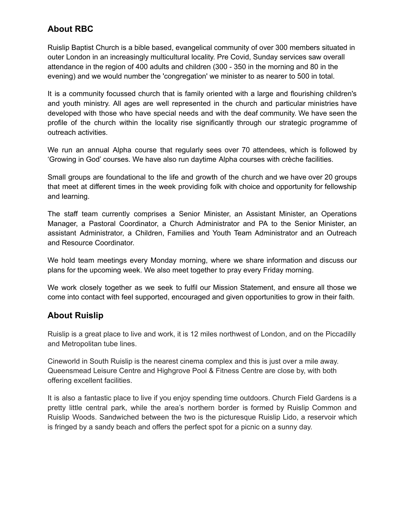## **About RBC**

Ruislip Baptist Church is a bible based, evangelical community of over 300 members situated in outer London in an increasingly multicultural locality. Pre Covid, Sunday services saw overall attendance in the region of 400 adults and children (300 - 350 in the morning and 80 in the evening) and we would number the 'congregation' we minister to as nearer to 500 in total.

It is a community focussed church that is family oriented with a large and flourishing children's and youth ministry. All ages are well represented in the church and particular ministries have developed with those who have special needs and with the deaf community. We have seen the profile of the church within the locality rise significantly through our strategic programme of outreach activities.

We run an annual Alpha course that regularly sees over 70 attendees, which is followed by 'Growing in God' courses. We have also run daytime Alpha courses with crèche facilities.

Small groups are foundational to the life and growth of the church and we have over 20 groups that meet at different times in the week providing folk with choice and opportunity for fellowship and learning.

The staff team currently comprises a Senior Minister, an Assistant Minister, an Operations Manager, a Pastoral Coordinator, a Church Administrator and PA to the Senior Minister, an assistant Administrator, a Children, Families and Youth Team Administrator and an Outreach and Resource Coordinator.

We hold team meetings every Monday morning, where we share information and discuss our plans for the upcoming week. We also meet together to pray every Friday morning.

We work closely together as we seek to fulfil our Mission Statement, and ensure all those we come into contact with feel supported, encouraged and given opportunities to grow in their faith.

## **About Ruislip**

Ruislip is a great place to live and work, it is 12 miles northwest of London, and on the Piccadilly and Metropolitan tube lines.

Cineworld in South Ruislip is the nearest cinema complex and this is just over a mile away. Queensmead Leisure Centre and Highgrove Pool & Fitness Centre are close by, with both offering excellent facilities.

It is also a fantastic place to live if you enjoy spending time outdoors. Church Field Gardens is a pretty little central park, while the area's northern border is formed by Ruislip Common and Ruislip Woods. Sandwiched between the two is the picturesque Ruislip Lido, a reservoir which is fringed by a sandy beach and offers the perfect spot for a picnic on a sunny day.